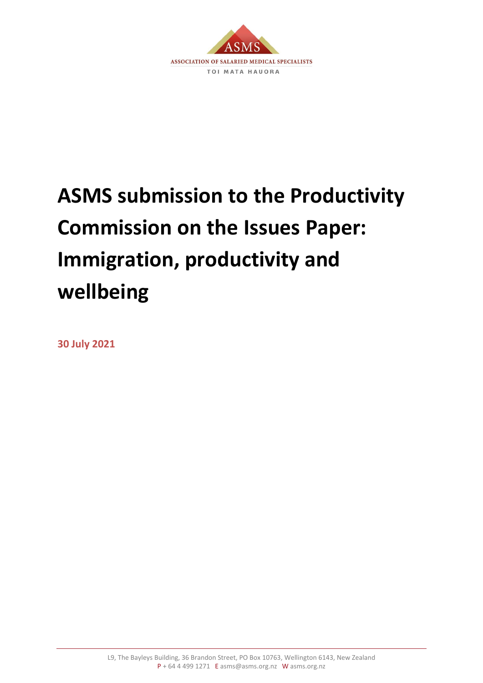

# **ASMS submission to the Productivity Commission on the Issues Paper: Immigration, productivity and wellbeing**

**30 July 2021**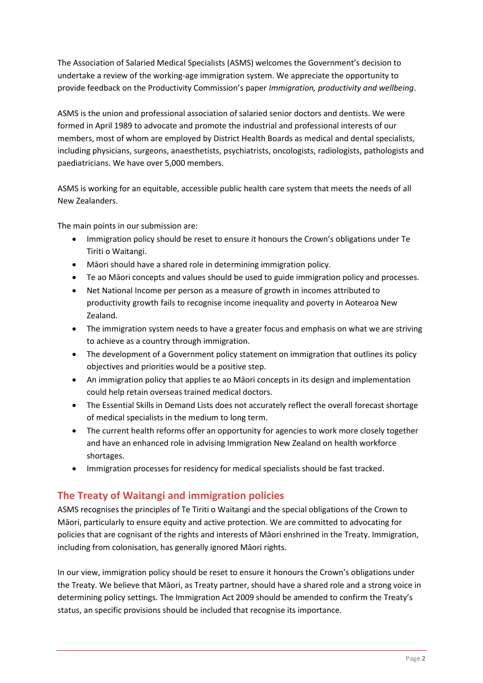The Association of Salaried Medical Specialists (ASMS) welcomes the Government's decision to undertake a review of the working-age immigration system. We appreciate the opportunity to provide feedback on the Productivity Commission's paper *Immigration, productivity and wellbeing*.

ASMS is the union and professional association of salaried senior doctors and dentists. We were formed in April 1989 to advocate and promote the industrial and professional interests of our members, most of whom are employed by District Health Boards as medical and dental specialists, including physicians, surgeons, anaesthetists, psychiatrists, oncologists, radiologists, pathologists and paediatricians. We have over 5,000 members.

ASMS is working for an equitable, accessible public health care system that meets the needs of all New Zealanders.

The main points in our submission are:

- Immigration policy should be reset to ensure it honours the Crown's obligations under Te Tiriti o Waitangi.
- Māori should have a shared role in determining immigration policy.
- Te ao Māori concepts and values should be used to guide immigration policy and processes.
- Net National Income per person as a measure of growth in incomes attributed to productivity growth fails to recognise income inequality and poverty in Aotearoa New Zealand.
- The immigration system needs to have a greater focus and emphasis on what we are striving to achieve as a country through immigration.
- The development of a Government policy statement on immigration that outlines its policy objectives and priorities would be a positive step.
- An immigration policy that applies te ao Māori concepts in its design and implementation could help retain overseas trained medical doctors.
- The Essential Skills in Demand Lists does not accurately reflect the overall forecast shortage of medical specialists in the medium to long term.
- The current health reforms offer an opportunity for agencies to work more closely together and have an enhanced role in advising Immigration New Zealand on health workforce shortages.
- Immigration processes for residency for medical specialists should be fast tracked.

# **The Treaty of Waitangi and immigration policies**

ASMS recognises the principles of Te Tiriti o Waitangi and the special obligations of the Crown to Māori, particularly to ensure equity and active protection. We are committed to advocating for policies that are cognisant of the rights and interests of Māori enshrined in the Treaty. Immigration, including from colonisation, has generally ignored Māori rights.

In our view, immigration policy should be reset to ensure it honours the Crown's obligations under the Treaty. We believe that Māori, as Treaty partner, should have a shared role and a strong voice in determining policy settings. The Immigration Act 2009 should be amended to confirm the Treaty's status, an specific provisions should be included that recognise its importance.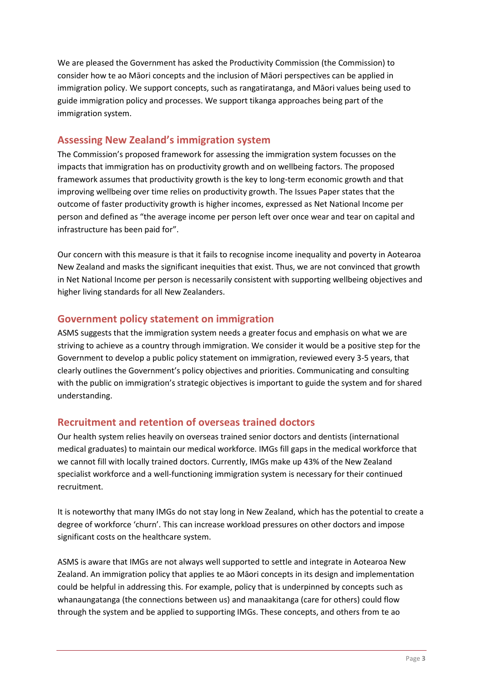We are pleased the Government has asked the Productivity Commission (the Commission) to consider how te ao Māori concepts and the inclusion of Māori perspectives can be applied in immigration policy. We support concepts, such as rangatiratanga, and Māori values being used to guide immigration policy and processes. We support tikanga approaches being part of the immigration system.

## **Assessing New Zealand's immigration system**

The Commission's proposed framework for assessing the immigration system focusses on the impacts that immigration has on productivity growth and on wellbeing factors. The proposed framework assumes that productivity growth is the key to long-term economic growth and that improving wellbeing over time relies on productivity growth. The Issues Paper states that the outcome of faster productivity growth is higher incomes, expressed as Net National Income per person and defined as "the average income per person left over once wear and tear on capital and infrastructure has been paid for".

Our concern with this measure is that it fails to recognise income inequality and poverty in Aotearoa New Zealand and masks the significant inequities that exist. Thus, we are not convinced that growth in Net National Income per person is necessarily consistent with supporting wellbeing objectives and higher living standards for all New Zealanders.

#### **Government policy statement on immigration**

ASMS suggests that the immigration system needs a greater focus and emphasis on what we are striving to achieve as a country through immigration. We consider it would be a positive step for the Government to develop a public policy statement on immigration, reviewed every 3-5 years, that clearly outlines the Government's policy objectives and priorities. Communicating and consulting with the public on immigration's strategic objectives is important to guide the system and for shared understanding.

#### **Recruitment and retention of overseas trained doctors**

Our health system relies heavily on overseas trained senior doctors and dentists (international medical graduates) to maintain our medical workforce. IMGs fill gaps in the medical workforce that we cannot fill with locally trained doctors. Currently, IMGs make up 43% of the New Zealand specialist workforce and a well-functioning immigration system is necessary for their continued recruitment.

It is noteworthy that many IMGs do not stay long in New Zealand, which has the potential to create a degree of workforce 'churn'. This can increase workload pressures on other doctors and impose significant costs on the healthcare system.

ASMS is aware that IMGs are not always well supported to settle and integrate in Aotearoa New Zealand. An immigration policy that applies te ao Māori concepts in its design and implementation could be helpful in addressing this. For example, policy that is underpinned by concepts such as whanaungatanga (the connections between us) and manaakitanga (care for others) could flow through the system and be applied to supporting IMGs. These concepts, and others from te ao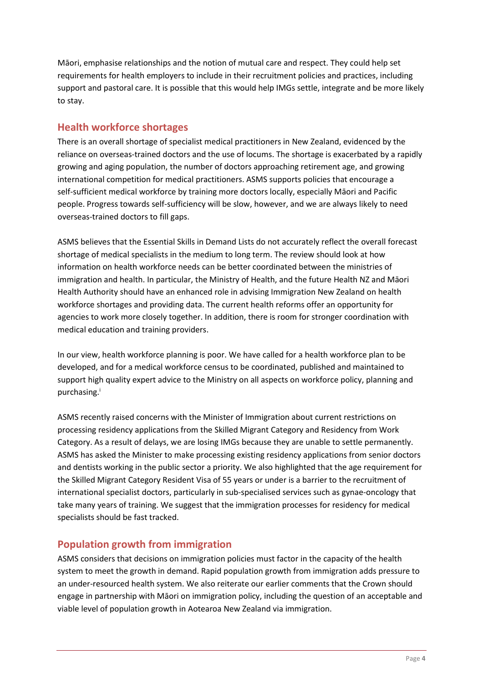Māori, emphasise relationships and the notion of mutual care and respect. They could help set requirements for health employers to include in their recruitment policies and practices, including support and pastoral care. It is possible that this would help IMGs settle, integrate and be more likely to stay.

#### **Health workforce shortages**

There is an overall shortage of specialist medical practitioners in New Zealand, evidenced by the reliance on overseas-trained doctors and the use of locums. The shortage is exacerbated by a rapidly growing and aging population, the number of doctors approaching retirement age, and growing international competition for medical practitioners. ASMS supports policies that encourage a self-sufficient medical workforce by training more doctors locally, especially Māori and Pacific people. Progress towards self-sufficiency will be slow, however, and we are always likely to need overseas-trained doctors to fill gaps.

ASMS believes that the Essential Skills in Demand Lists do not accurately reflect the overall forecast shortage of medical specialists in the medium to long term. The review should look at how information on health workforce needs can be better coordinated between the ministries of immigration and health. In particular, the Ministry of Health, and the future Health NZ and Māori Health Authority should have an enhanced role in advising Immigration New Zealand on health workforce shortages and providing data. The current health reforms offer an opportunity for agencies to work more closely together. In addition, there is room for stronger coordination with medical education and training providers.

In our view, health workforce planning is poor. We have called for a health workforce plan to be developed, and for a medical workforce census to be coordinated, published and maintained to support high quality expert advice to the Ministry on all aspects on workforce policy, planning and purchasing. i

ASMS recently raised concerns with the Minister of Immigration about current restrictions on processing residency applications from the Skilled Migrant Category and Residency from Work Category. As a result of delays, we are losing IMGs because they are unable to settle permanently. ASMS has asked the Minister to make processing existing residency applications from senior doctors and dentists working in the public sector a priority. We also highlighted that the age requirement for the Skilled Migrant Category Resident Visa of 55 years or under is a barrier to the recruitment of international specialist doctors, particularly in sub-specialised services such as gynae-oncology that take many years of training. We suggest that the immigration processes for residency for medical specialists should be fast tracked.

## **Population growth from immigration**

ASMS considers that decisions on immigration policies must factor in the capacity of the health system to meet the growth in demand. Rapid population growth from immigration adds pressure to an under-resourced health system. We also reiterate our earlier comments that the Crown should engage in partnership with Māori on immigration policy, including the question of an acceptable and viable level of population growth in Aotearoa New Zealand via immigration.